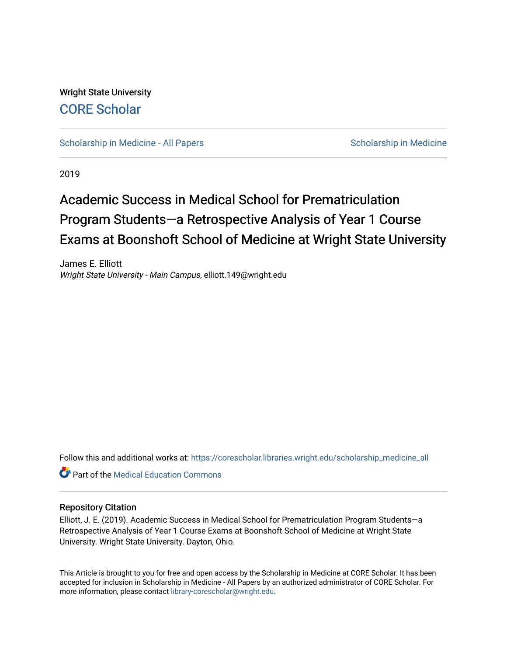Wright State University [CORE Scholar](https://corescholar.libraries.wright.edu/)

[Scholarship in Medicine - All Papers](https://corescholar.libraries.wright.edu/scholarship_medicine_all) Scholarship in Medicine

2019

# Academic Success in Medical School for Prematriculation Program Students—a Retrospective Analysis of Year 1 Course Exams at Boonshoft School of Medicine at Wright State University

James E. Elliott Wright State University - Main Campus, elliott.149@wright.edu

Follow this and additional works at: [https://corescholar.libraries.wright.edu/scholarship\\_medicine\\_all](https://corescholar.libraries.wright.edu/scholarship_medicine_all?utm_source=corescholar.libraries.wright.edu%2Fscholarship_medicine_all%2F7&utm_medium=PDF&utm_campaign=PDFCoverPages) 

**Part of the Medical Education Commons** 

#### Repository Citation

Elliott, J. E. (2019). Academic Success in Medical School for Prematriculation Program Students—a Retrospective Analysis of Year 1 Course Exams at Boonshoft School of Medicine at Wright State University. Wright State University. Dayton, Ohio.

This Article is brought to you for free and open access by the Scholarship in Medicine at CORE Scholar. It has been accepted for inclusion in Scholarship in Medicine - All Papers by an authorized administrator of CORE Scholar. For more information, please contact [library-corescholar@wright.edu.](mailto:library-corescholar@wright.edu)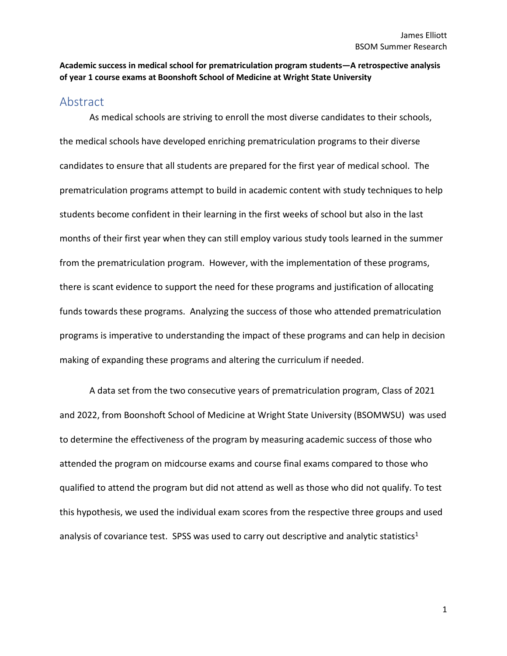#### **Academic success in medical school for prematriculation program students—A retrospective analysis of year 1 course exams at Boonshoft School of Medicine at Wright State University**

### Abstract

As medical schools are striving to enroll the most diverse candidates to their schools, the medical schools have developed enriching prematriculation programs to their diverse candidates to ensure that all students are prepared for the first year of medical school. The prematriculation programs attempt to build in academic content with study techniques to help students become confident in their learning in the first weeks of school but also in the last months of their first year when they can still employ various study tools learned in the summer from the prematriculation program. However, with the implementation of these programs, there is scant evidence to support the need for these programs and justification of allocating funds towards these programs. Analyzing the success of those who attended prematriculation programs is imperative to understanding the impact of these programs and can help in decision making of expanding these programs and altering the curriculum if needed.

A data set from the two consecutive years of prematriculation program, Class of 2021 and 2022, from Boonshoft School of Medicine at Wright State University (BSOMWSU) was used to determine the effectiveness of the program by measuring academic success of those who attended the program on midcourse exams and course final exams compared to those who qualified to attend the program but did not attend as well as those who did not qualify. To test this hypothesis, we used the individual exam scores from the respective three groups and used analysis of covariance test. SPSS was used to carry out descriptive and analytic statistics<sup>1</sup>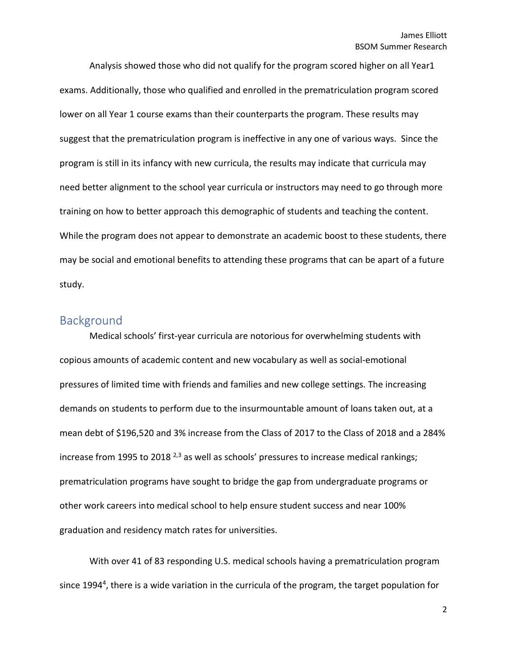Analysis showed those who did not qualify for the program scored higher on all Year1 exams. Additionally, those who qualified and enrolled in the prematriculation program scored lower on all Year 1 course exams than their counterparts the program. These results may suggest that the prematriculation program is ineffective in any one of various ways. Since the program is still in its infancy with new curricula, the results may indicate that curricula may need better alignment to the school year curricula or instructors may need to go through more training on how to better approach this demographic of students and teaching the content. While the program does not appear to demonstrate an academic boost to these students, there may be social and emotional benefits to attending these programs that can be apart of a future study.

## Background

Medical schools' first-year curricula are notorious for overwhelming students with copious amounts of academic content and new vocabulary as well as social-emotional pressures of limited time with friends and families and new college settings. The increasing demands on students to perform due to the insurmountable amount of loans taken out, at a mean debt of \$196,520 and 3% increase from the Class of 2017 to the Class of 2018 and a 284% increase from 1995 to 2018  $^{2,3}$  as well as schools' pressures to increase medical rankings; prematriculation programs have sought to bridge the gap from undergraduate programs or other work careers into medical school to help ensure student success and near 100% graduation and residency match rates for universities.

With over 41 of 83 responding U.S. medical schools having a prematriculation program since 1994<sup>4</sup>, there is a wide variation in the curricula of the program, the target population for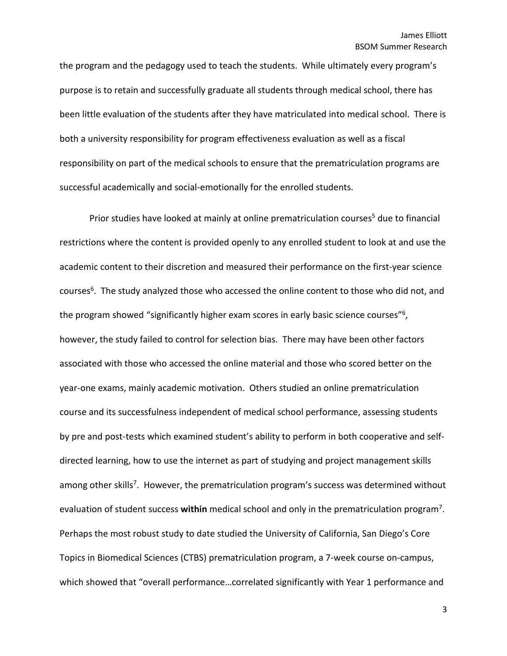the program and the pedagogy used to teach the students. While ultimately every program's purpose is to retain and successfully graduate all students through medical school, there has been little evaluation of the students after they have matriculated into medical school. There is both a university responsibility for program effectiveness evaluation as well as a fiscal responsibility on part of the medical schools to ensure that the prematriculation programs are successful academically and social-emotionally for the enrolled students.

Prior studies have looked at mainly at online prematriculation courses<sup>5</sup> due to financial restrictions where the content is provided openly to any enrolled student to look at and use the academic content to their discretion and measured their performance on the first-year science courses<sup>6</sup>. The study analyzed those who accessed the online content to those who did not, and the program showed "significantly higher exam scores in early basic science courses"6, however, the study failed to control for selection bias. There may have been other factors associated with those who accessed the online material and those who scored better on the year-one exams, mainly academic motivation. Others studied an online prematriculation course and its successfulness independent of medical school performance, assessing students by pre and post-tests which examined student's ability to perform in both cooperative and selfdirected learning, how to use the internet as part of studying and project management skills among other skills<sup>7</sup>. However, the prematriculation program's success was determined without evaluation of student success **within** medical school and only in the prematriculation program7. Perhaps the most robust study to date studied the University of California, San Diego's Core Topics in Biomedical Sciences (CTBS) prematriculation program, a 7-week course on-campus, which showed that "overall performance…correlated significantly with Year 1 performance and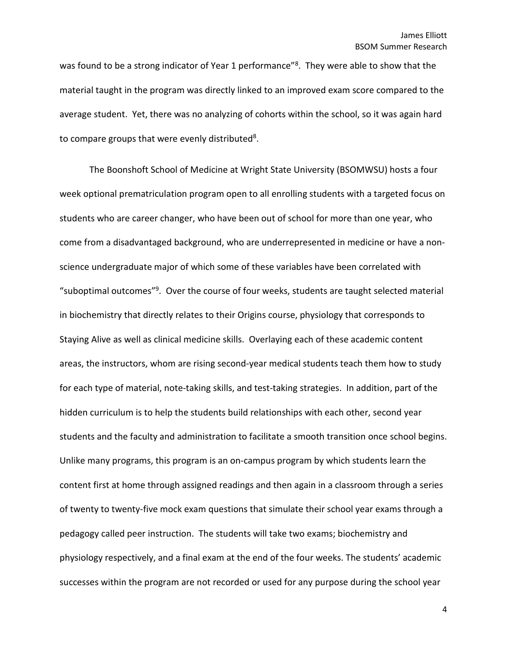was found to be a strong indicator of Year 1 performance"<sup>8</sup>. They were able to show that the material taught in the program was directly linked to an improved exam score compared to the average student. Yet, there was no analyzing of cohorts within the school, so it was again hard to compare groups that were evenly distributed<sup>8</sup>.

The Boonshoft School of Medicine at Wright State University (BSOMWSU) hosts a four week optional prematriculation program open to all enrolling students with a targeted focus on students who are career changer, who have been out of school for more than one year, who come from a disadvantaged background, who are underrepresented in medicine or have a nonscience undergraduate major of which some of these variables have been correlated with "suboptimal outcomes"9. Over the course of four weeks, students are taught selected material in biochemistry that directly relates to their Origins course, physiology that corresponds to Staying Alive as well as clinical medicine skills. Overlaying each of these academic content areas, the instructors, whom are rising second-year medical students teach them how to study for each type of material, note-taking skills, and test-taking strategies. In addition, part of the hidden curriculum is to help the students build relationships with each other, second year students and the faculty and administration to facilitate a smooth transition once school begins. Unlike many programs, this program is an on-campus program by which students learn the content first at home through assigned readings and then again in a classroom through a series of twenty to twenty-five mock exam questions that simulate their school year exams through a pedagogy called peer instruction. The students will take two exams; biochemistry and physiology respectively, and a final exam at the end of the four weeks. The students' academic successes within the program are not recorded or used for any purpose during the school year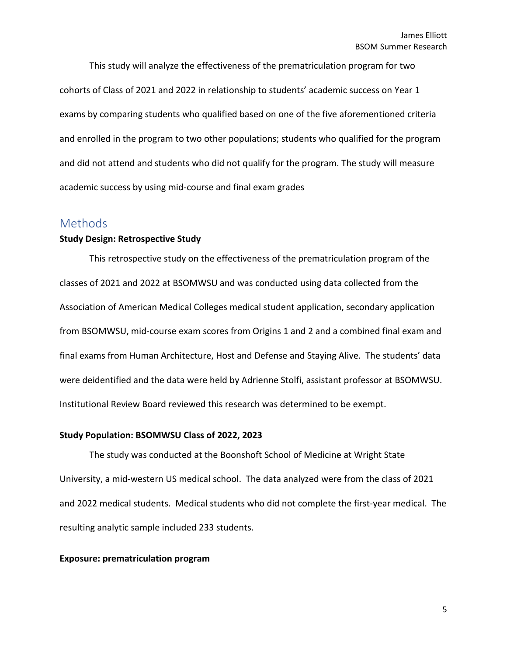This study will analyze the effectiveness of the prematriculation program for two cohorts of Class of 2021 and 2022 in relationship to students' academic success on Year 1 exams by comparing students who qualified based on one of the five aforementioned criteria and enrolled in the program to two other populations; students who qualified for the program and did not attend and students who did not qualify for the program. The study will measure academic success by using mid-course and final exam grades

## **Methods**

#### **Study Design: Retrospective Study**

This retrospective study on the effectiveness of the prematriculation program of the classes of 2021 and 2022 at BSOMWSU and was conducted using data collected from the Association of American Medical Colleges medical student application, secondary application from BSOMWSU, mid-course exam scores from Origins 1 and 2 and a combined final exam and final exams from Human Architecture, Host and Defense and Staying Alive. The students' data were deidentified and the data were held by Adrienne Stolfi, assistant professor at BSOMWSU. Institutional Review Board reviewed this research was determined to be exempt.

#### **Study Population: BSOMWSU Class of 2022, 2023**

The study was conducted at the Boonshoft School of Medicine at Wright State University, a mid-western US medical school. The data analyzed were from the class of 2021 and 2022 medical students. Medical students who did not complete the first-year medical. The resulting analytic sample included 233 students.

#### **Exposure: prematriculation program**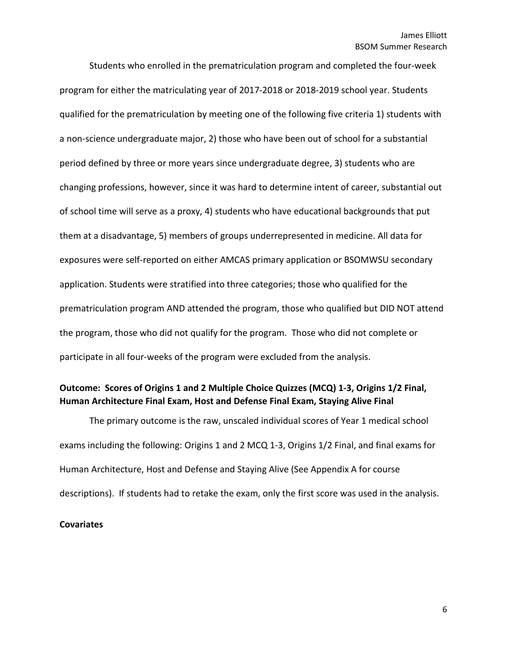Students who enrolled in the prematriculation program and completed the four-week program for either the matriculating year of 2017-2018 or 2018-2019 school year. Students qualified for the prematriculation by meeting one of the following five criteria 1) students with a non-science undergraduate major, 2) those who have been out of school for a substantial period defined by three or more years since undergraduate degree, 3) students who are changing professions, however, since it was hard to determine intent of career, substantial out of school time will serve as a proxy, 4) students who have educational backgrounds that put them at a disadvantage, 5) members of groups underrepresented in medicine. All data for exposures were self-reported on either AMCAS primary application or BSOMWSU secondary application. Students were stratified into three categories; those who qualified for the prematriculation program AND attended the program, those who qualified but DID NOT attend the program, those who did not qualify for the program. Those who did not complete or participate in all four-weeks of the program were excluded from the analysis.

### **Outcome: Scores of Origins 1 and 2 Multiple Choice Quizzes (MCQ) 1-3, Origins 1/2 Final, Human Architecture Final Exam, Host and Defense Final Exam, Staying Alive Final**

The primary outcome is the raw, unscaled individual scores of Year 1 medical school exams including the following: Origins 1 and 2 MCQ 1-3, Origins 1/2 Final, and final exams for Human Architecture, Host and Defense and Staying Alive (See Appendix A for course descriptions). If students had to retake the exam, only the first score was used in the analysis.

#### **Covariates**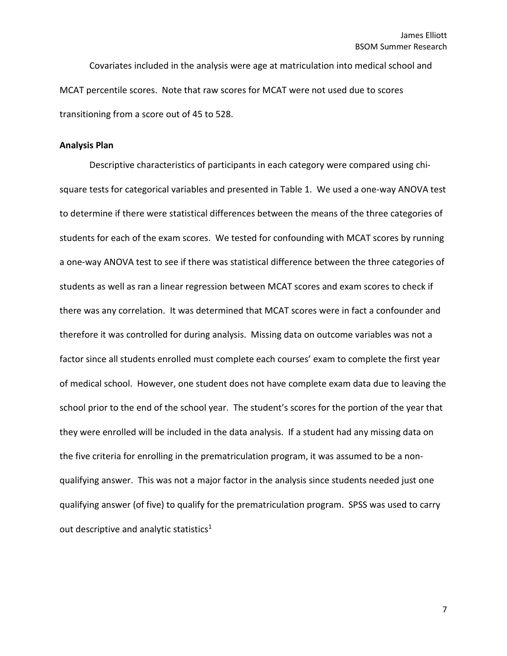Covariates included in the analysis were age at matriculation into medical school and MCAT percentile scores. Note that raw scores for MCAT were not used due to scores transitioning from a score out of 45 to 528.

#### **Analysis Plan**

Descriptive characteristics of participants in each category were compared using chisquare tests for categorical variables and presented in Table 1. We used a one-way ANOVA test to determine if there were statistical differences between the means of the three categories of students for each of the exam scores. We tested for confounding with MCAT scores by running a one-way ANOVA test to see if there was statistical difference between the three categories of students as well as ran a linear regression between MCAT scores and exam scores to check if there was any correlation. It was determined that MCAT scores were in fact a confounder and therefore it was controlled for during analysis. Missing data on outcome variables was not a factor since all students enrolled must complete each courses' exam to complete the first year of medical school. However, one student does not have complete exam data due to leaving the school prior to the end of the school year. The student's scores for the portion of the year that they were enrolled will be included in the data analysis. If a student had any missing data on the five criteria for enrolling in the prematriculation program, it was assumed to be a nonqualifying answer. This was not a major factor in the analysis since students needed just one qualifying answer (of five) to qualify for the prematriculation program. SPSS was used to carry out descriptive and analytic statistics<sup>1</sup>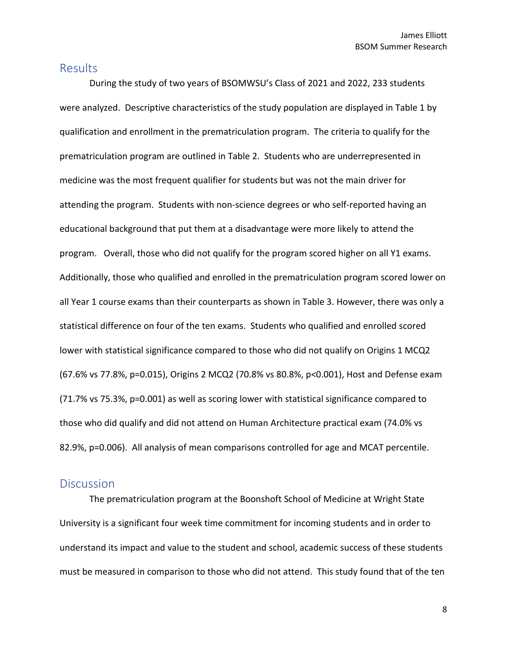## **Results**

During the study of two years of BSOMWSU's Class of 2021 and 2022, 233 students were analyzed. Descriptive characteristics of the study population are displayed in Table 1 by qualification and enrollment in the prematriculation program. The criteria to qualify for the prematriculation program are outlined in Table 2. Students who are underrepresented in medicine was the most frequent qualifier for students but was not the main driver for attending the program. Students with non-science degrees or who self-reported having an educational background that put them at a disadvantage were more likely to attend the program. Overall, those who did not qualify for the program scored higher on all Y1 exams. Additionally, those who qualified and enrolled in the prematriculation program scored lower on all Year 1 course exams than their counterparts as shown in Table 3. However, there was only a statistical difference on four of the ten exams. Students who qualified and enrolled scored lower with statistical significance compared to those who did not qualify on Origins 1 MCQ2 (67.6% vs 77.8%, p=0.015), Origins 2 MCQ2 (70.8% vs 80.8%, p<0.001), Host and Defense exam (71.7% vs 75.3%, p=0.001) as well as scoring lower with statistical significance compared to those who did qualify and did not attend on Human Architecture practical exam (74.0% vs 82.9%, p=0.006). All analysis of mean comparisons controlled for age and MCAT percentile.

## **Discussion**

The prematriculation program at the Boonshoft School of Medicine at Wright State University is a significant four week time commitment for incoming students and in order to understand its impact and value to the student and school, academic success of these students must be measured in comparison to those who did not attend. This study found that of the ten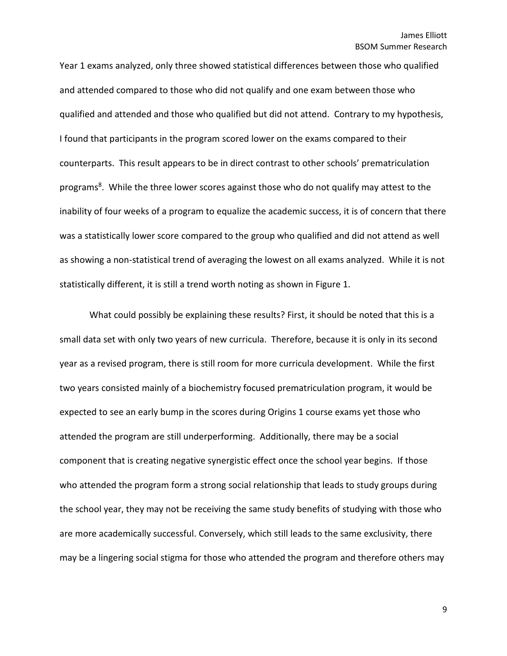Year 1 exams analyzed, only three showed statistical differences between those who qualified and attended compared to those who did not qualify and one exam between those who qualified and attended and those who qualified but did not attend. Contrary to my hypothesis, I found that participants in the program scored lower on the exams compared to their counterparts. This result appears to be in direct contrast to other schools' prematriculation programs<sup>8</sup>. While the three lower scores against those who do not qualify may attest to the inability of four weeks of a program to equalize the academic success, it is of concern that there was a statistically lower score compared to the group who qualified and did not attend as well as showing a non-statistical trend of averaging the lowest on all exams analyzed. While it is not statistically different, it is still a trend worth noting as shown in Figure 1.

What could possibly be explaining these results? First, it should be noted that this is a small data set with only two years of new curricula. Therefore, because it is only in its second year as a revised program, there is still room for more curricula development. While the first two years consisted mainly of a biochemistry focused prematriculation program, it would be expected to see an early bump in the scores during Origins 1 course exams yet those who attended the program are still underperforming. Additionally, there may be a social component that is creating negative synergistic effect once the school year begins. If those who attended the program form a strong social relationship that leads to study groups during the school year, they may not be receiving the same study benefits of studying with those who are more academically successful. Conversely, which still leads to the same exclusivity, there may be a lingering social stigma for those who attended the program and therefore others may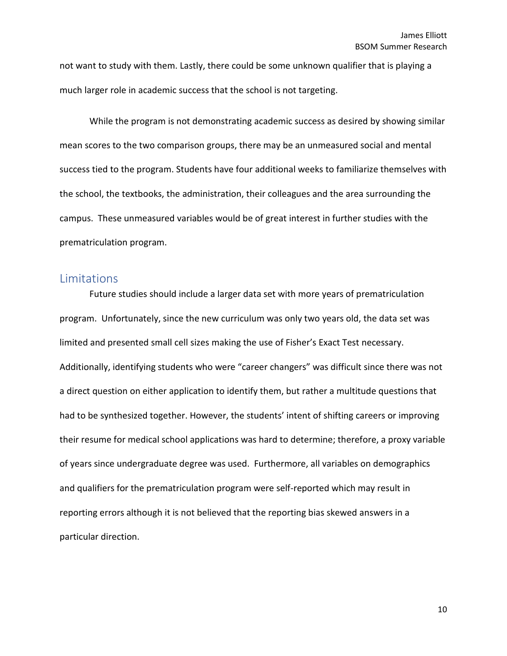not want to study with them. Lastly, there could be some unknown qualifier that is playing a much larger role in academic success that the school is not targeting.

While the program is not demonstrating academic success as desired by showing similar mean scores to the two comparison groups, there may be an unmeasured social and mental success tied to the program. Students have four additional weeks to familiarize themselves with the school, the textbooks, the administration, their colleagues and the area surrounding the campus. These unmeasured variables would be of great interest in further studies with the prematriculation program.

## Limitations

Future studies should include a larger data set with more years of prematriculation program. Unfortunately, since the new curriculum was only two years old, the data set was limited and presented small cell sizes making the use of Fisher's Exact Test necessary. Additionally, identifying students who were "career changers" was difficult since there was not a direct question on either application to identify them, but rather a multitude questions that had to be synthesized together. However, the students' intent of shifting careers or improving their resume for medical school applications was hard to determine; therefore, a proxy variable of years since undergraduate degree was used. Furthermore, all variables on demographics and qualifiers for the prematriculation program were self-reported which may result in reporting errors although it is not believed that the reporting bias skewed answers in a particular direction.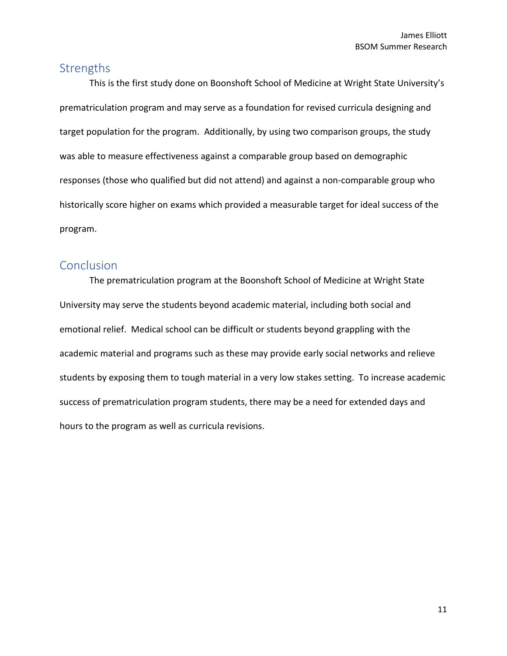## **Strengths**

This is the first study done on Boonshoft School of Medicine at Wright State University's prematriculation program and may serve as a foundation for revised curricula designing and target population for the program. Additionally, by using two comparison groups, the study was able to measure effectiveness against a comparable group based on demographic responses (those who qualified but did not attend) and against a non-comparable group who historically score higher on exams which provided a measurable target for ideal success of the program.

## **Conclusion**

The prematriculation program at the Boonshoft School of Medicine at Wright State University may serve the students beyond academic material, including both social and emotional relief. Medical school can be difficult or students beyond grappling with the academic material and programs such as these may provide early social networks and relieve students by exposing them to tough material in a very low stakes setting. To increase academic success of prematriculation program students, there may be a need for extended days and hours to the program as well as curricula revisions.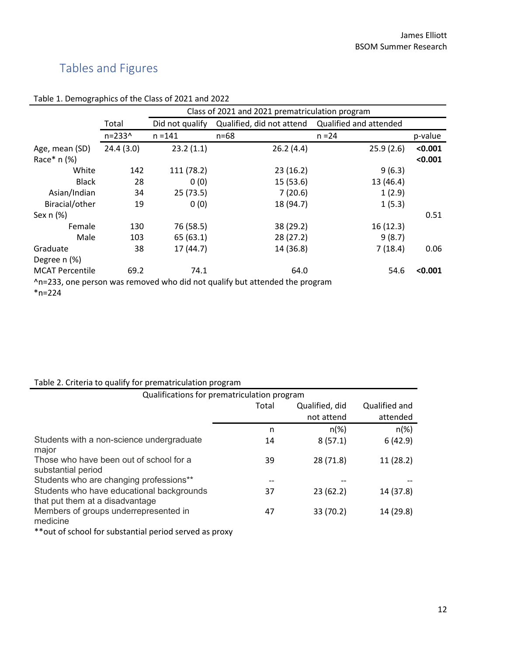## Tables and Figures

|                                                                             |                   | Class of 2021 and 2021 prematriculation program |                           |                        |         |
|-----------------------------------------------------------------------------|-------------------|-------------------------------------------------|---------------------------|------------------------|---------|
|                                                                             | Total             | Did not qualify                                 | Qualified, did not attend | Qualified and attended |         |
|                                                                             | $n = 233^{\circ}$ | $n = 141$                                       | $n = 68$                  | $n = 24$               | p-value |
| Age, mean (SD)                                                              | 24.4(3.0)         | 23.2(1.1)                                       | 26.2(4.4)                 | 25.9(2.6)              | < 0.001 |
| Race $*$ n $(\%)$                                                           |                   |                                                 |                           |                        | < 0.001 |
| White                                                                       | 142               | 111 (78.2)                                      | 23(16.2)                  | 9(6.3)                 |         |
| <b>Black</b>                                                                | 28                | 0(0)                                            | 15(53.6)                  | 13 (46.4)              |         |
| Asian/Indian                                                                | 34                | 25(73.5)                                        | 7(20.6)                   | 1(2.9)                 |         |
| Biracial/other                                                              | 19                | 0(0)                                            | 18 (94.7)                 | 1(5.3)                 |         |
| Sex $n$ $%$                                                                 |                   |                                                 |                           |                        | 0.51    |
| Female                                                                      | 130               | 76 (58.5)                                       | 38 (29.2)                 | 16(12.3)               |         |
| Male                                                                        | 103               | 65(63.1)                                        | 28(27.2)                  | 9(8.7)                 |         |
| Graduate                                                                    | 38                | 17(44.7)                                        | 14 (36.8)                 | 7(18.4)                | 0.06    |
| Degree n (%)                                                                |                   |                                                 |                           |                        |         |
| <b>MCAT Percentile</b>                                                      | 69.2              | 74.1                                            | 64.0                      | 54.6                   | < 0.001 |
| ^n=233, one person was removed who did not qualify but attended the program |                   |                                                 |                           |                        |         |
| $*n=224$                                                                    |                   |                                                 |                           |                        |         |

#### Table 1. Demographics of the Class of 2021 and 2022

### Table 2. Criteria to qualify for prematriculation program

| $\frac{1}{2}$                                                                |       |                |               |  |
|------------------------------------------------------------------------------|-------|----------------|---------------|--|
| Qualifications for prematriculation program                                  |       |                |               |  |
|                                                                              | Total | Qualified, did | Qualified and |  |
|                                                                              |       | not attend     | attended      |  |
|                                                                              | n     | $n(\%)$        | $n(\%)$       |  |
| Students with a non-science undergraduate<br>major                           | 14    | 8(57.1)        | 6(42.9)       |  |
| Those who have been out of school for a<br>substantial period                | 39    | 28 (71.8)      | 11 (28.2)     |  |
| Students who are changing professions**                                      |       |                |               |  |
| Students who have educational backgrounds<br>that put them at a disadvantage | 37    | 23(62.2)       | 14 (37.8)     |  |
| Members of groups underrepresented in<br>medicine                            | 47    | 33 (70.2)      | 14 (29.8)     |  |
| ** out of school for substantial period served as proxy                      |       |                |               |  |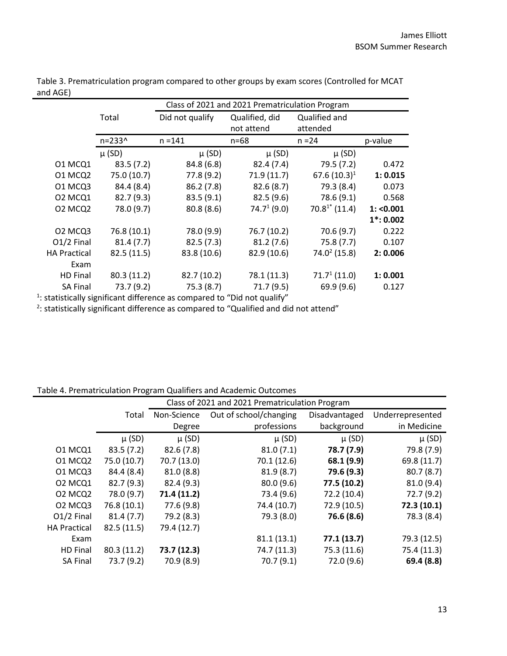|                   | Class of 2021 and 2021 Prematriculation Program |                 |                    |             |
|-------------------|-------------------------------------------------|-----------------|--------------------|-------------|
| Total             | Did not qualify                                 | Qualified, did  | Qualified and      |             |
|                   |                                                 | not attend      | attended           |             |
| $n = 233^{\circ}$ | $n = 141$                                       | $n = 68$        | $n = 24$           | p-value     |
| $\mu$ (SD)        | $\mu$ (SD)                                      | $\mu$ (SD)      | $\mu$ (SD)         |             |
| 83.5(7.2)         | 84.8(6.8)                                       | 82.4(7.4)       | 79.5 (7.2)         | 0.472       |
| 75.0 (10.7)       | 77.8 (9.2)                                      | 71.9(11.7)      | $67.6(10.3)^1$     | 1: 0.015    |
| 84.4 (8.4)        | 86.2(7.8)                                       | 82.6(8.7)       | 79.3 (8.4)         | 0.073       |
| 82.7(9.3)         | 83.5(9.1)                                       | 82.5(9.6)       | 78.6 (9.1)         | 0.568       |
| 78.0 (9.7)        | 80.8(8.6)                                       | $74.7^{1}(9.0)$ | $70.8^{1*}$ (11.4) | 1: < 0.001  |
|                   |                                                 |                 |                    | $1*: 0.002$ |
| 76.8 (10.1)       | 78.0 (9.9)                                      | 76.7 (10.2)     | 70.6(9.7)          | 0.222       |
| 81.4(7.7)         | 82.5(7.3)                                       | 81.2(7.6)       | 75.8(7.7)          | 0.107       |
| 82.5 (11.5)       | 83.8 (10.6)                                     | 82.9 (10.6)     | $74.0^2(15.8)$     | 2: 0.006    |
|                   |                                                 |                 |                    |             |
| 80.3(11.2)        | 82.7 (10.2)                                     | 78.1 (11.3)     | $71.7^{1}(11.0)$   | 1: 0.001    |
| 73.7 (9.2)        | 75.3(8.7)                                       | 71.7(9.5)       | 69.9(9.6)          | 0.127       |
|                   |                                                 |                 |                    |             |

Table 3. Prematriculation program compared to other groups by exam scores (Controlled for MCAT and AGE)

 $1$ : statistically significant difference as compared to "Did not qualify"

 $2$ : statistically significant difference as compared to "Qualified and did not attend"

#### Table 4. Prematriculation Program Qualifiers and Academic Outcomes

|                                             |             | Class of 2021 and 2021 Prematriculation Program |                        |               |                  |
|---------------------------------------------|-------------|-------------------------------------------------|------------------------|---------------|------------------|
|                                             | Total       | Non-Science                                     | Out of school/changing | Disadvantaged | Underrepresented |
|                                             |             | Degree                                          | professions            | background    | in Medicine      |
|                                             | $\mu$ (SD)  | $\mu$ (SD)                                      | $\mu$ (SD)             | $\mu$ (SD)    | $\mu$ (SD)       |
| 01 MCQ1                                     | 83.5(7.2)   | 82.6(7.8)                                       | 81.0(7.1)              | 78.7 (7.9)    | 79.8 (7.9)       |
| 01 MCQ2                                     | 75.0 (10.7) | 70.7 (13.0)                                     | 70.1 (12.6)            | 68.1 (9.9)    | 69.8 (11.7)      |
| O1 MCQ3                                     | 84.4 (8.4)  | 81.0(8.8)                                       | 81.9(8.7)              | 79.6 (9.3)    | 80.7(8.7)        |
| 02 MCQ1                                     | 82.7(9.3)   | 82.4 (9.3)                                      | 80.0(9.6)              | 77.5 (10.2)   | 81.0 (9.4)       |
| O <sub>2</sub> MC <sub>Q</sub> <sub>2</sub> | 78.0 (9.7)  | 71.4 (11.2)                                     | 73.4 (9.6)             | 72.2 (10.4)   | 72.7(9.2)        |
| O <sub>2</sub> MCQ <sub>3</sub>             | 76.8 (10.1) | 77.6 (9.8)                                      | 74.4 (10.7)            | 72.9 (10.5)   | 72.3 (10.1)      |
| O1/2 Final                                  | 81.4(7.7)   | 79.2 (8.3)                                      | 79.3 (8.0)             | 76.6 (8.6)    | 78.3 (8.4)       |
| <b>HA Practical</b>                         | 82.5(11.5)  | 79.4 (12.7)                                     |                        |               |                  |
| Exam                                        |             |                                                 | 81.1(13.1)             | 77.1 (13.7)   | 79.3 (12.5)      |
| <b>HD Final</b>                             | 80.3(11.2)  | 73.7 (12.3)                                     | 74.7 (11.3)            | 75.3 (11.6)   | 75.4 (11.3)      |
| <b>SA Final</b>                             | 73.7 (9.2)  | 70.9 (8.9)                                      | 70.7 (9.1)             | 72.0 (9.6)    | 69.4 (8.8)       |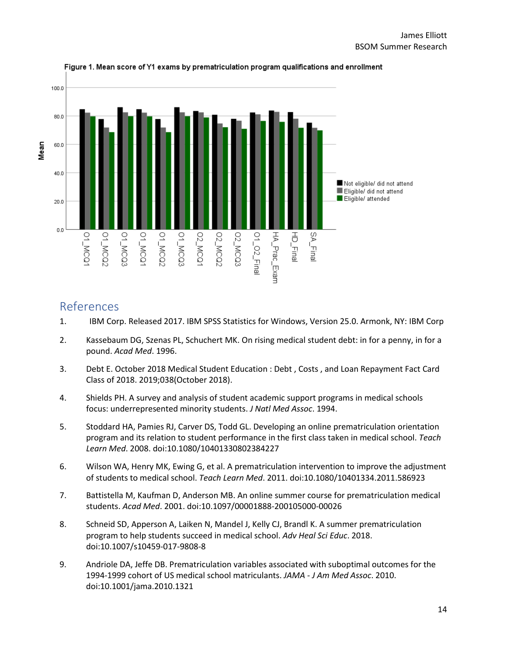

Figure 1. Mean score of Y1 exams by prematriculation program qualifications and enrollment

## References

- 1. IBM Corp. Released 2017. IBM SPSS Statistics for Windows, Version 25.0. Armonk, NY: IBM Corp
- 2. Kassebaum DG, Szenas PL, Schuchert MK. On rising medical student debt: in for a penny, in for a pound. *Acad Med*. 1996.
- 3. Debt E. October 2018 Medical Student Education : Debt , Costs , and Loan Repayment Fact Card Class of 2018. 2019;038(October 2018).
- 4. Shields PH. A survey and analysis of student academic support programs in medical schools focus: underrepresented minority students. *J Natl Med Assoc*. 1994.
- 5. Stoddard HA, Pamies RJ, Carver DS, Todd GL. Developing an online prematriculation orientation program and its relation to student performance in the first class taken in medical school. *Teach Learn Med*. 2008. doi:10.1080/10401330802384227
- 6. Wilson WA, Henry MK, Ewing G, et al. A prematriculation intervention to improve the adjustment of students to medical school. *Teach Learn Med*. 2011. doi:10.1080/10401334.2011.586923
- 7. Battistella M, Kaufman D, Anderson MB. An online summer course for prematriculation medical students. *Acad Med*. 2001. doi:10.1097/00001888-200105000-00026
- 8. Schneid SD, Apperson A, Laiken N, Mandel J, Kelly CJ, Brandl K. A summer prematriculation program to help students succeed in medical school. *Adv Heal Sci Educ*. 2018. doi:10.1007/s10459-017-9808-8
- 9. Andriole DA, Jeffe DB. Prematriculation variables associated with suboptimal outcomes for the 1994-1999 cohort of US medical school matriculants. *JAMA - J Am Med Assoc*. 2010. doi:10.1001/jama.2010.1321